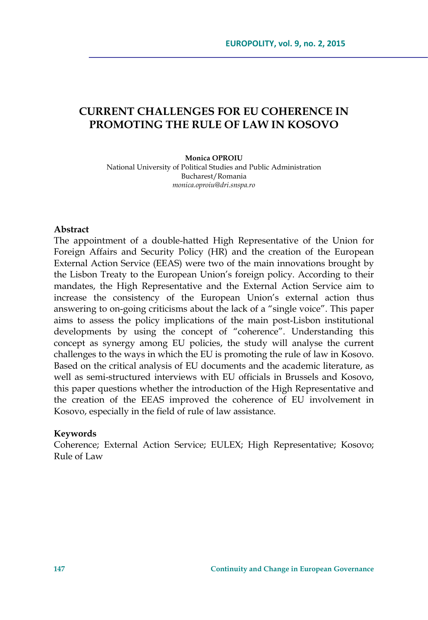# **CURRENT CHALLENGES FOR EU COHERENCE IN PROMOTING THE RULE OF LAW IN KOSOVO**

#### **Monica OPROIU**

National University of Political Studies and Public Administration Bucharest/Romania *monica.oproiu@dri.snspa.ro* 

#### **Abstract**

The appointment of a double-hatted High Representative of the Union for Foreign Affairs and Security Policy (HR) and the creation of the European External Action Service (EEAS) were two of the main innovations brought by the Lisbon Treaty to the European Union's foreign policy. According to their mandates, the High Representative and the External Action Service aim to increase the consistency of the European Union's external action thus answering to on-going criticisms about the lack of a "single voice". This paper aims to assess the policy implications of the main post-Lisbon institutional developments by using the concept of "coherence". Understanding this concept as synergy among EU policies, the study will analyse the current challenges to the ways in which the EU is promoting the rule of law in Kosovo. Based on the critical analysis of EU documents and the academic literature, as well as semi-structured interviews with EU officials in Brussels and Kosovo, this paper questions whether the introduction of the High Representative and the creation of the EEAS improved the coherence of EU involvement in Kosovo, especially in the field of rule of law assistance.

#### **Keywords**

Coherence; External Action Service; EULEX; High Representative; Kosovo; Rule of Law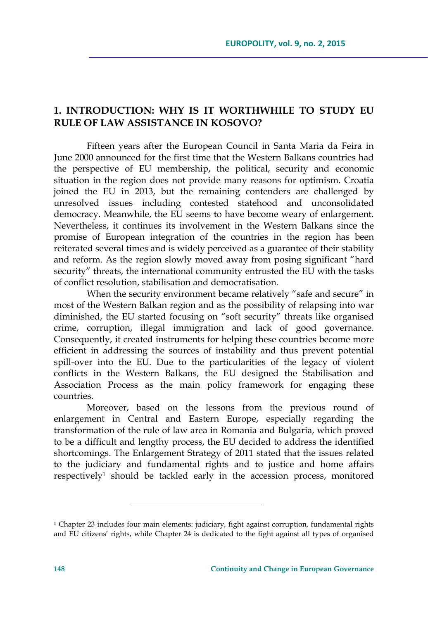## **1. INTRODUCTION: WHY IS IT WORTHWHILE TO STUDY EU RULE OF LAW ASSISTANCE IN KOSOVO?**

Fifteen years after the European Council in Santa Maria da Feira in June 2000 announced for the first time that the Western Balkans countries had the perspective of EU membership, the political, security and economic situation in the region does not provide many reasons for optimism. Croatia joined the EU in 2013, but the remaining contenders are challenged by unresolved issues including contested statehood and unconsolidated democracy. Meanwhile, the EU seems to have become weary of enlargement. Nevertheless, it continues its involvement in the Western Balkans since the promise of European integration of the countries in the region has been reiterated several times and is widely perceived as a guarantee of their stability and reform. As the region slowly moved away from posing significant "hard security" threats, the international community entrusted the EU with the tasks of conflict resolution, stabilisation and democratisation.

When the security environment became relatively "safe and secure" in most of the Western Balkan region and as the possibility of relapsing into war diminished, the EU started focusing on "soft security" threats like organised crime, corruption, illegal immigration and lack of good governance. Consequently, it created instruments for helping these countries become more efficient in addressing the sources of instability and thus prevent potential spill-over into the EU. Due to the particularities of the legacy of violent conflicts in the Western Balkans, the EU designed the Stabilisation and Association Process as the main policy framework for engaging these countries.

Moreover, based on the lessons from the previous round of enlargement in Central and Eastern Europe, especially regarding the transformation of the rule of law area in Romania and Bulgaria, which proved to be a difficult and lengthy process, the EU decided to address the identified shortcomings. The Enlargement Strategy of 2011 stated that the issues related to the judiciary and fundamental rights and to justice and home affairs respectively1 should be tackled early in the accession process, monitored

<sup>&</sup>lt;sup>1</sup> Chapter 23 includes four main elements: judiciary, fight against corruption, fundamental rights and EU citizens' rights, while Chapter 24 is dedicated to the fight against all types of organised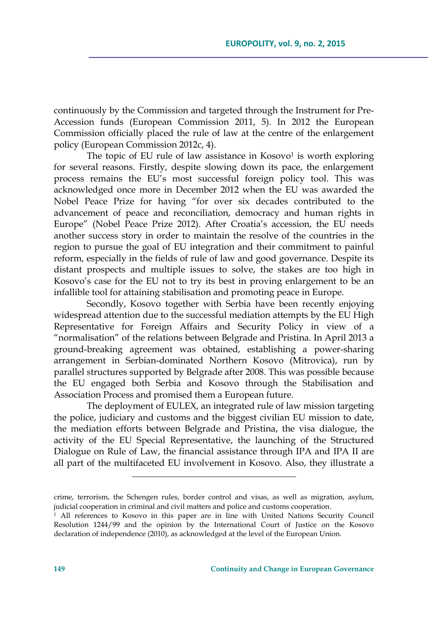continuously by the Commission and targeted through the Instrument for Pre-Accession funds (European Commission 2011, 5). In 2012 the European Commission officially placed the rule of law at the centre of the enlargement policy (European Commission 2012c, 4).

The topic of EU rule of law assistance in  $Kos 0<sup>1</sup>$  is worth exploring for several reasons. Firstly, despite slowing down its pace, the enlargement process remains the EU's most successful foreign policy tool. This was acknowledged once more in December 2012 when the EU was awarded the Nobel Peace Prize for having "for over six decades contributed to the advancement of peace and reconciliation, democracy and human rights in Europe" (Nobel Peace Prize 2012). After Croatia's accession, the EU needs another success story in order to maintain the resolve of the countries in the region to pursue the goal of EU integration and their commitment to painful reform, especially in the fields of rule of law and good governance. Despite its distant prospects and multiple issues to solve, the stakes are too high in Kosovo's case for the EU not to try its best in proving enlargement to be an infallible tool for attaining stabilisation and promoting peace in Europe.

Secondly, Kosovo together with Serbia have been recently enjoying widespread attention due to the successful mediation attempts by the EU High Representative for Foreign Affairs and Security Policy in view of a "normalisation" of the relations between Belgrade and Pristina. In April 2013 a ground-breaking agreement was obtained, establishing a power-sharing arrangement in Serbian-dominated Northern Kosovo (Mitrovica), run by parallel structures supported by Belgrade after 2008. This was possible because the EU engaged both Serbia and Kosovo through the Stabilisation and Association Process and promised them a European future.

The deployment of EULEX, an integrated rule of law mission targeting the police, judiciary and customs and the biggest civilian EU mission to date, the mediation efforts between Belgrade and Pristina, the visa dialogue, the activity of the EU Special Representative, the launching of the Structured Dialogue on Rule of Law, the financial assistance through IPA and IPA II are all part of the multifaceted EU involvement in Kosovo. Also, they illustrate a

<u> 1989 - Johann Barn, mars eta bainar eta industrial eta baina eta industrial eta baina eta industrial eta in</u>

crime, terrorism, the Schengen rules, border control and visas, as well as migration, asylum, judicial cooperation in criminal and civil matters and police and customs cooperation. 1 All references to Kosovo in this paper are in line with United Nations Security Council

Resolution 1244/99 and the opinion by the International Court of Justice on the Kosovo declaration of independence (2010), as acknowledged at the level of the European Union.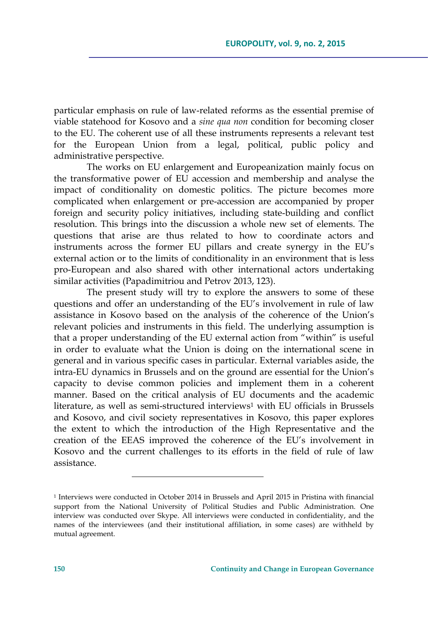particular emphasis on rule of law-related reforms as the essential premise of viable statehood for Kosovo and a *sine qua non* condition for becoming closer to the EU. The coherent use of all these instruments represents a relevant test for the European Union from a legal, political, public policy and administrative perspective.

The works on EU enlargement and Europeanization mainly focus on the transformative power of EU accession and membership and analyse the impact of conditionality on domestic politics. The picture becomes more complicated when enlargement or pre-accession are accompanied by proper foreign and security policy initiatives, including state-building and conflict resolution. This brings into the discussion a whole new set of elements. The questions that arise are thus related to how to coordinate actors and instruments across the former EU pillars and create synergy in the EU's external action or to the limits of conditionality in an environment that is less pro-European and also shared with other international actors undertaking similar activities (Papadimitriou and Petrov 2013, 123).

The present study will try to explore the answers to some of these questions and offer an understanding of the EU's involvement in rule of law assistance in Kosovo based on the analysis of the coherence of the Union's relevant policies and instruments in this field. The underlying assumption is that a proper understanding of the EU external action from "within" is useful in order to evaluate what the Union is doing on the international scene in general and in various specific cases in particular. External variables aside, the intra-EU dynamics in Brussels and on the ground are essential for the Union's capacity to devise common policies and implement them in a coherent manner. Based on the critical analysis of EU documents and the academic literature, as well as semi-structured interviews<sup>1</sup> with EU officials in Brussels and Kosovo, and civil society representatives in Kosovo, this paper explores the extent to which the introduction of the High Representative and the creation of the EEAS improved the coherence of the EU's involvement in Kosovo and the current challenges to its efforts in the field of rule of law assistance.

<u> 1989 - Johann Barn, mars eta inperiodo</u>

<sup>1</sup> Interviews were conducted in October 2014 in Brussels and April 2015 in Pristina with financial support from the National University of Political Studies and Public Administration. One interview was conducted over Skype. All interviews were conducted in confidentiality, and the names of the interviewees (and their institutional affiliation, in some cases) are withheld by mutual agreement.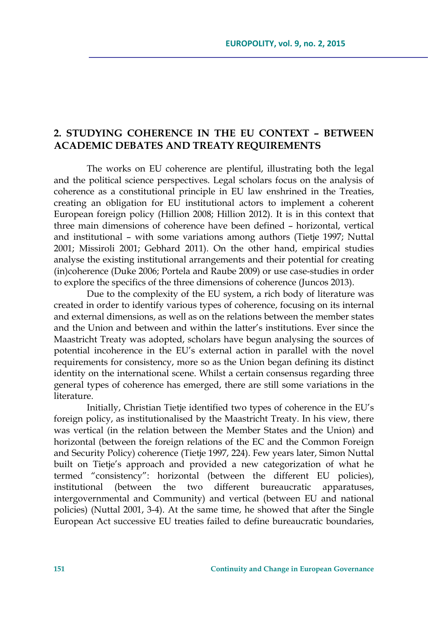## **2. STUDYING COHERENCE IN THE EU CONTEXT – BETWEEN ACADEMIC DEBATES AND TREATY REQUIREMENTS**

The works on EU coherence are plentiful, illustrating both the legal and the political science perspectives. Legal scholars focus on the analysis of coherence as a constitutional principle in EU law enshrined in the Treaties, creating an obligation for EU institutional actors to implement a coherent European foreign policy (Hillion 2008; Hillion 2012). It is in this context that three main dimensions of coherence have been defined – horizontal, vertical and institutional – with some variations among authors (Tietje 1997; Nuttal 2001; Missiroli 2001; Gebhard 2011). On the other hand, empirical studies analyse the existing institutional arrangements and their potential for creating (in)coherence (Duke 2006; Portela and Raube 2009) or use case-studies in order to explore the specifics of the three dimensions of coherence (Juncos 2013).

Due to the complexity of the EU system, a rich body of literature was created in order to identify various types of coherence, focusing on its internal and external dimensions, as well as on the relations between the member states and the Union and between and within the latter's institutions. Ever since the Maastricht Treaty was adopted, scholars have begun analysing the sources of potential incoherence in the EU's external action in parallel with the novel requirements for consistency, more so as the Union began defining its distinct identity on the international scene. Whilst a certain consensus regarding three general types of coherence has emerged, there are still some variations in the literature.

Initially, Christian Tietje identified two types of coherence in the EU's foreign policy, as institutionalised by the Maastricht Treaty. In his view, there was vertical (in the relation between the Member States and the Union) and horizontal (between the foreign relations of the EC and the Common Foreign and Security Policy) coherence (Tietje 1997, 224). Few years later, Simon Nuttal built on Tietje's approach and provided a new categorization of what he termed "consistency": horizontal (between the different EU policies), institutional (between the two different bureaucratic apparatuses, intergovernmental and Community) and vertical (between EU and national policies) (Nuttal 2001, 3-4). At the same time, he showed that after the Single European Act successive EU treaties failed to define bureaucratic boundaries,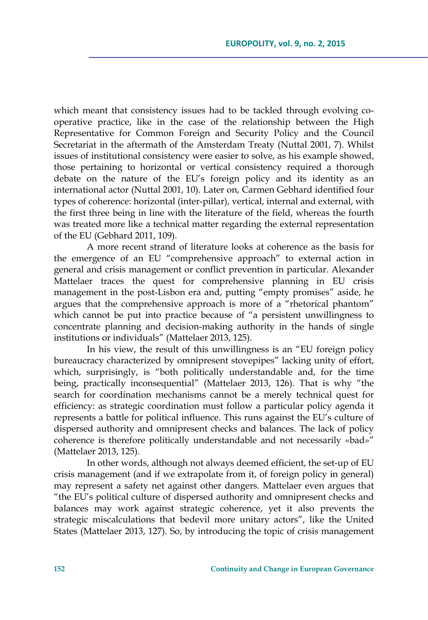which meant that consistency issues had to be tackled through evolving cooperative practice, like in the case of the relationship between the High Representative for Common Foreign and Security Policy and the Council Secretariat in the aftermath of the Amsterdam Treaty (Nuttal 2001, 7). Whilst issues of institutional consistency were easier to solve, as his example showed, those pertaining to horizontal or vertical consistency required a thorough debate on the nature of the EU's foreign policy and its identity as an international actor (Nuttal 2001, 10). Later on, Carmen Gebhard identified four types of coherence: horizontal (inter-pillar), vertical, internal and external, with the first three being in line with the literature of the field, whereas the fourth was treated more like a technical matter regarding the external representation of the EU (Gebhard 2011, 109).

A more recent strand of literature looks at coherence as the basis for the emergence of an EU "comprehensive approach" to external action in general and crisis management or conflict prevention in particular. Alexander Mattelaer traces the quest for comprehensive planning in EU crisis management in the post-Lisbon era and, putting "empty promises" aside, he argues that the comprehensive approach is more of a "rhetorical phantom" which cannot be put into practice because of "a persistent unwillingness to concentrate planning and decision-making authority in the hands of single institutions or individuals" (Mattelaer 2013, 125).

In his view, the result of this unwillingness is an "EU foreign policy bureaucracy characterized by omnipresent stovepipes" lacking unity of effort, which, surprisingly, is "both politically understandable and, for the time being, practically inconsequential" (Mattelaer 2013, 126). That is why "the search for coordination mechanisms cannot be a merely technical quest for efficiency: as strategic coordination must follow a particular policy agenda it represents a battle for political influence. This runs against the EU's culture of dispersed authority and omnipresent checks and balances. The lack of policy coherence is therefore politically understandable and not necessarily «bad»" (Mattelaer 2013, 125).

In other words, although not always deemed efficient, the set-up of EU crisis management (and if we extrapolate from it, of foreign policy in general) may represent a safety net against other dangers. Mattelaer even argues that "the EU's political culture of dispersed authority and omnipresent checks and balances may work against strategic coherence, yet it also prevents the strategic miscalculations that bedevil more unitary actors", like the United States (Mattelaer 2013, 127). So, by introducing the topic of crisis management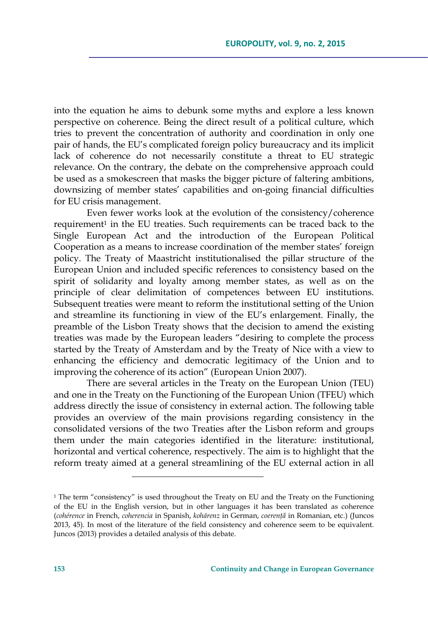into the equation he aims to debunk some myths and explore a less known perspective on coherence. Being the direct result of a political culture, which tries to prevent the concentration of authority and coordination in only one pair of hands, the EU's complicated foreign policy bureaucracy and its implicit lack of coherence do not necessarily constitute a threat to EU strategic relevance. On the contrary, the debate on the comprehensive approach could be used as a smokescreen that masks the bigger picture of faltering ambitions, downsizing of member states' capabilities and on-going financial difficulties for EU crisis management.

Even fewer works look at the evolution of the consistency/coherence requirement<sup>1</sup> in the EU treaties. Such requirements can be traced back to the Single European Act and the introduction of the European Political Cooperation as a means to increase coordination of the member states' foreign policy. The Treaty of Maastricht institutionalised the pillar structure of the European Union and included specific references to consistency based on the spirit of solidarity and loyalty among member states, as well as on the principle of clear delimitation of competences between EU institutions. Subsequent treaties were meant to reform the institutional setting of the Union and streamline its functioning in view of the EU's enlargement. Finally, the preamble of the Lisbon Treaty shows that the decision to amend the existing treaties was made by the European leaders "desiring to complete the process started by the Treaty of Amsterdam and by the Treaty of Nice with a view to enhancing the efficiency and democratic legitimacy of the Union and to improving the coherence of its action" (European Union 2007).

There are several articles in the Treaty on the European Union (TEU) and one in the Treaty on the Functioning of the European Union (TFEU) which address directly the issue of consistency in external action. The following table provides an overview of the main provisions regarding consistency in the consolidated versions of the two Treaties after the Lisbon reform and groups them under the main categories identified in the literature: institutional, horizontal and vertical coherence, respectively. The aim is to highlight that the reform treaty aimed at a general streamlining of the EU external action in all

<u> 1989 - Johann Barn, mars eta inperiodo</u>

 $1$  The term "consistency" is used throughout the Treaty on EU and the Treaty on the Functioning of the EU in the English version, but in other languages it has been translated as coherence (*cohérence* in French, *coherencia* in Spanish, *kohärenz* in German, *coerenţă* in Romanian, etc.) (Juncos 2013, 45). In most of the literature of the field consistency and coherence seem to be equivalent. Juncos (2013) provides a detailed analysis of this debate.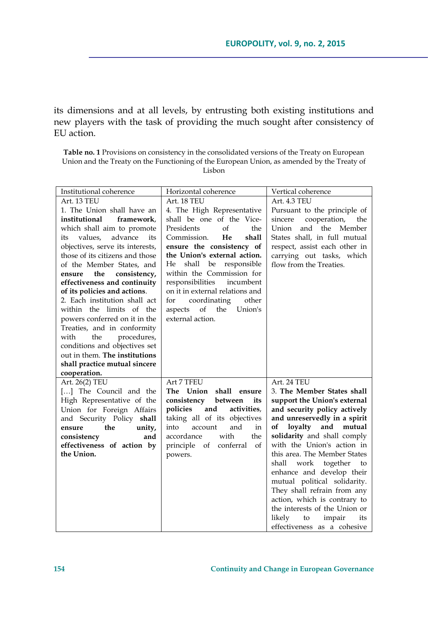its dimensions and at all levels, by entrusting both existing institutions and new players with the task of providing the much sought after consistency of EU action.

**Table no. 1** Provisions on consistency in the consolidated versions of the Treaty on European Union and the Treaty on the Functioning of the European Union, as amended by the Treaty of Lisbon

| Institutional coherence                   | Horizontal coherence                                            | Vertical coherence                                           |
|-------------------------------------------|-----------------------------------------------------------------|--------------------------------------------------------------|
| Art. 13 TEU                               | Art. 18 TEU                                                     | Art. 4.3 TEU                                                 |
| 1. The Union shall have an                | 4. The High Representative                                      | Pursuant to the principle of                                 |
| institutional<br>framework.               | shall be one of the Vice-                                       | cooperation,<br>sincere<br>the                               |
| which shall aim to promote                | $\sigma$ f<br>Presidents<br>the                                 | and the Member<br>Union                                      |
| advance<br>values,<br>its<br>its          | Commission.<br>He<br>shall                                      | States shall, in full mutual                                 |
| objectives, serve its interests,          | ensure the consistency of                                       | respect, assist each other in                                |
| those of its citizens and those           | the Union's external action.                                    | carrying out tasks, which                                    |
| of the Member States, and                 | shall<br>responsible<br>He<br>be                                | flow from the Treaties.                                      |
| consistency,<br>the<br>ensure             | within the Commission for                                       |                                                              |
| effectiveness and continuity              | responsibilities<br>incumbent                                   |                                                              |
| of its policies and actions.              | on it in external relations and                                 |                                                              |
| 2. Each institution shall act             | other<br>for<br>coordinating                                    |                                                              |
| within the limits of the                  | Union's<br>of the<br>aspects                                    |                                                              |
| powers conferred on it in the             | external action.                                                |                                                              |
| Treaties, and in conformity               |                                                                 |                                                              |
| with<br>the<br>procedures,                |                                                                 |                                                              |
| conditions and objectives set             |                                                                 |                                                              |
| out in them. The institutions             |                                                                 |                                                              |
| shall practice mutual sincere             |                                                                 |                                                              |
| cooperation.                              |                                                                 |                                                              |
| Art. 26(2) TEU                            | Art 7 TFEU                                                      | Art. 24 TEU                                                  |
| [] The Council and the                    | The Union<br>shall ensure                                       | 3. The Member States shall                                   |
| High Representative of the                | consistency<br>between<br>its<br>policies<br>and<br>activities, | support the Union's external                                 |
| Union for Foreign Affairs                 | taking all of its objectives                                    | and security policy actively<br>and unreservedly in a spirit |
| and Security Policy shall<br>the          | and<br>account<br>in<br>into                                    | loyalty and<br>mutual<br>оf                                  |
| unity,<br>ensure<br>and                   | the<br>accordance<br>with                                       | solidarity and shall comply                                  |
| consistency<br>effectiveness of action by | principle of conferral<br>of                                    | with the Union's action in                                   |
| the Union.                                | powers.                                                         | this area. The Member States                                 |
|                                           |                                                                 | shall<br>work together<br>to                                 |
|                                           |                                                                 | enhance and develop their                                    |
|                                           |                                                                 | mutual political solidarity.                                 |
|                                           |                                                                 | They shall refrain from any                                  |
|                                           |                                                                 | action, which is contrary to                                 |
|                                           |                                                                 | the interests of the Union or                                |
|                                           |                                                                 | likely<br>impair<br>to<br>its                                |
|                                           |                                                                 | effectiveness as a cohesive                                  |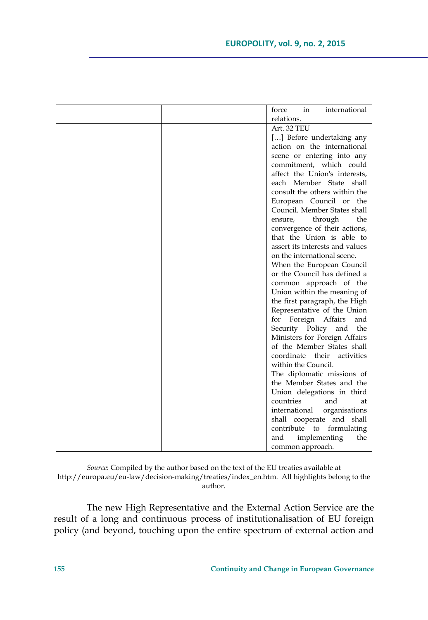|  | in<br>international<br>force    |
|--|---------------------------------|
|  | relations.                      |
|  | Art. 32 TEU                     |
|  | [] Before undertaking any       |
|  | action on the international     |
|  | scene or entering into any      |
|  | commitment, which could         |
|  | affect the Union's interests,   |
|  | each Member State shall         |
|  | consult the others within the   |
|  | European Council or the         |
|  | Council. Member States shall    |
|  | through<br>the<br>ensure,       |
|  | convergence of their actions,   |
|  | that the Union is able to       |
|  | assert its interests and values |
|  | on the international scene.     |
|  | When the European Council       |
|  | or the Council has defined a    |
|  | common approach of the          |
|  | Union within the meaning of     |
|  | the first paragraph, the High   |
|  | Representative of the Union     |
|  | Foreign Affairs<br>for<br>and   |
|  | Security Policy<br>and<br>the   |
|  | Ministers for Foreign Affairs   |
|  | of the Member States shall      |
|  | coordinate their<br>activities  |
|  | within the Council.             |
|  | The diplomatic missions of      |
|  | the Member States and the       |
|  | Union delegations in third      |
|  | and<br>countries<br>at          |
|  | international<br>organisations  |
|  | shall cooperate and shall       |
|  | contribute<br>formulating<br>to |
|  | and<br>implementing<br>the      |
|  | common approach.                |

*Source*: Compiled by the author based on the text of the EU treaties available at http://europa.eu/eu-law/decision-making/treaties/index\_en.htm. All highlights belong to the author.

The new High Representative and the External Action Service are the result of a long and continuous process of institutionalisation of EU foreign policy (and beyond, touching upon the entire spectrum of external action and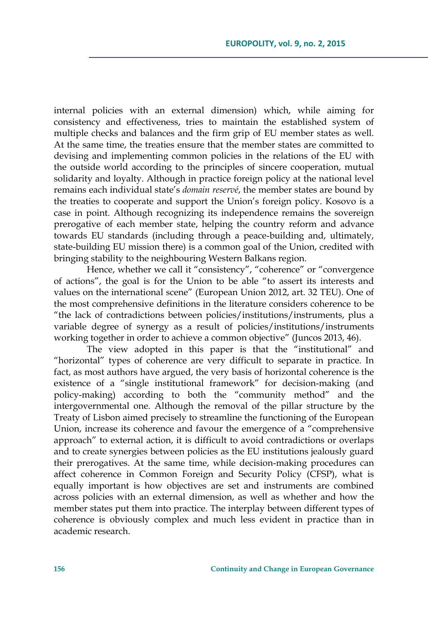internal policies with an external dimension) which, while aiming for consistency and effectiveness, tries to maintain the established system of multiple checks and balances and the firm grip of EU member states as well. At the same time, the treaties ensure that the member states are committed to devising and implementing common policies in the relations of the EU with the outside world according to the principles of sincere cooperation, mutual solidarity and loyalty. Although in practice foreign policy at the national level remains each individual state's *domain reservé*, the member states are bound by the treaties to cooperate and support the Union's foreign policy. Kosovo is a case in point. Although recognizing its independence remains the sovereign prerogative of each member state, helping the country reform and advance towards EU standards (including through a peace-building and, ultimately, state-building EU mission there) is a common goal of the Union, credited with bringing stability to the neighbouring Western Balkans region.

Hence, whether we call it "consistency", "coherence" or "convergence of actions", the goal is for the Union to be able "to assert its interests and values on the international scene" (European Union 2012, art. 32 TEU). One of the most comprehensive definitions in the literature considers coherence to be "the lack of contradictions between policies/institutions/instruments, plus a variable degree of synergy as a result of policies/institutions/instruments working together in order to achieve a common objective" (Juncos 2013, 46).

The view adopted in this paper is that the "institutional" and "horizontal" types of coherence are very difficult to separate in practice. In fact, as most authors have argued, the very basis of horizontal coherence is the existence of a "single institutional framework" for decision-making (and policy-making) according to both the "community method" and the intergovernmental one. Although the removal of the pillar structure by the Treaty of Lisbon aimed precisely to streamline the functioning of the European Union, increase its coherence and favour the emergence of a "comprehensive approach" to external action, it is difficult to avoid contradictions or overlaps and to create synergies between policies as the EU institutions jealously guard their prerogatives. At the same time, while decision-making procedures can affect coherence in Common Foreign and Security Policy (CFSP), what is equally important is how objectives are set and instruments are combined across policies with an external dimension, as well as whether and how the member states put them into practice. The interplay between different types of coherence is obviously complex and much less evident in practice than in academic research.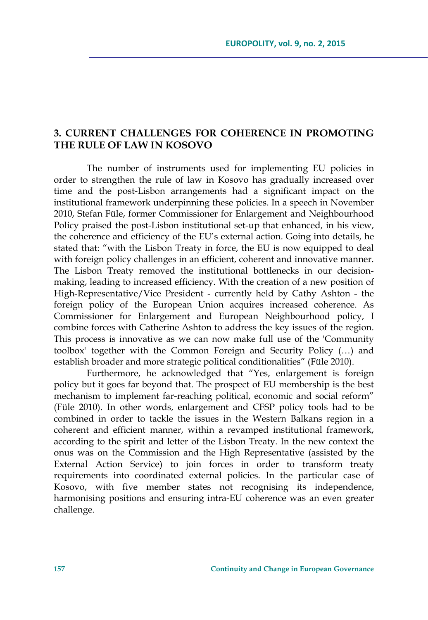## **3. CURRENT CHALLENGES FOR COHERENCE IN PROMOTING THE RULE OF LAW IN KOSOVO**

The number of instruments used for implementing EU policies in order to strengthen the rule of law in Kosovo has gradually increased over time and the post-Lisbon arrangements had a significant impact on the institutional framework underpinning these policies. In a speech in November 2010, Stefan Füle, former Commissioner for Enlargement and Neighbourhood Policy praised the post-Lisbon institutional set-up that enhanced, in his view, the coherence and efficiency of the EU's external action. Going into details, he stated that: "with the Lisbon Treaty in force, the EU is now equipped to deal with foreign policy challenges in an efficient, coherent and innovative manner. The Lisbon Treaty removed the institutional bottlenecks in our decisionmaking, leading to increased efficiency. With the creation of a new position of High-Representative/Vice President - currently held by Cathy Ashton - the foreign policy of the European Union acquires increased coherence. As Commissioner for Enlargement and European Neighbourhood policy, I combine forces with Catherine Ashton to address the key issues of the region. This process is innovative as we can now make full use of the 'Community toolbox' together with the Common Foreign and Security Policy (…) and establish broader and more strategic political conditionalities" (Füle 2010).

Furthermore, he acknowledged that "Yes, enlargement is foreign policy but it goes far beyond that. The prospect of EU membership is the best mechanism to implement far-reaching political, economic and social reform" (Füle 2010). In other words, enlargement and CFSP policy tools had to be combined in order to tackle the issues in the Western Balkans region in a coherent and efficient manner, within a revamped institutional framework, according to the spirit and letter of the Lisbon Treaty. In the new context the onus was on the Commission and the High Representative (assisted by the External Action Service) to join forces in order to transform treaty requirements into coordinated external policies. In the particular case of Kosovo, with five member states not recognising its independence, harmonising positions and ensuring intra-EU coherence was an even greater challenge.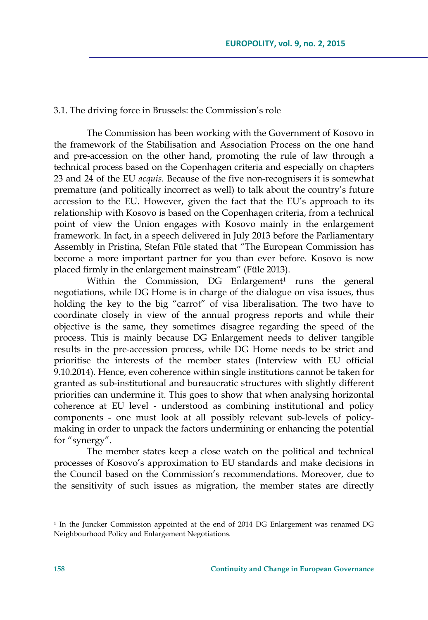#### 3.1. The driving force in Brussels: the Commission's role

The Commission has been working with the Government of Kosovo in the framework of the Stabilisation and Association Process on the one hand and pre-accession on the other hand, promoting the rule of law through a technical process based on the Copenhagen criteria and especially on chapters 23 and 24 of the EU *acquis*. Because of the five non-recognisers it is somewhat premature (and politically incorrect as well) to talk about the country's future accession to the EU. However, given the fact that the EU's approach to its relationship with Kosovo is based on the Copenhagen criteria, from a technical point of view the Union engages with Kosovo mainly in the enlargement framework. In fact, in a speech delivered in July 2013 before the Parliamentary Assembly in Pristina, Stefan Füle stated that "The European Commission has become a more important partner for you than ever before. Kosovo is now placed firmly in the enlargement mainstream" (Füle 2013).

Within the Commission,  $DG$  Enlargement<sup>1</sup> runs the general negotiations, while DG Home is in charge of the dialogue on visa issues, thus holding the key to the big "carrot" of visa liberalisation. The two have to coordinate closely in view of the annual progress reports and while their objective is the same, they sometimes disagree regarding the speed of the process. This is mainly because DG Enlargement needs to deliver tangible results in the pre-accession process, while DG Home needs to be strict and prioritise the interests of the member states (Interview with EU official 9.10.2014). Hence, even coherence within single institutions cannot be taken for granted as sub-institutional and bureaucratic structures with slightly different priorities can undermine it. This goes to show that when analysing horizontal coherence at EU level - understood as combining institutional and policy components - one must look at all possibly relevant sub-levels of policymaking in order to unpack the factors undermining or enhancing the potential for "synergy".

The member states keep a close watch on the political and technical processes of Kosovo's approximation to EU standards and make decisions in the Council based on the Commission's recommendations. Moreover, due to the sensitivity of such issues as migration, the member states are directly

<sup>1</sup> In the Juncker Commission appointed at the end of 2014 DG Enlargement was renamed DG Neighbourhood Policy and Enlargement Negotiations.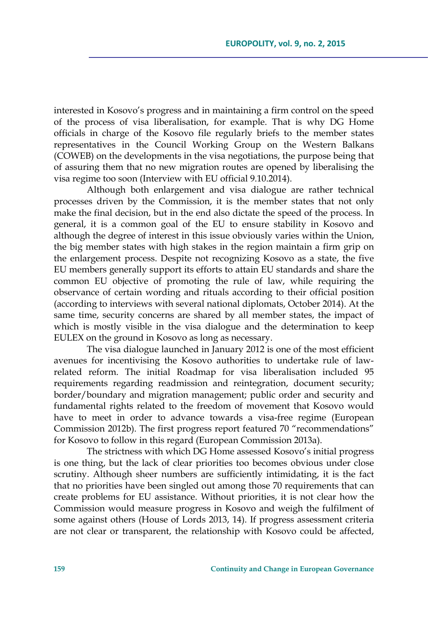interested in Kosovo's progress and in maintaining a firm control on the speed of the process of visa liberalisation, for example. That is why DG Home officials in charge of the Kosovo file regularly briefs to the member states representatives in the Council Working Group on the Western Balkans (COWEB) on the developments in the visa negotiations, the purpose being that of assuring them that no new migration routes are opened by liberalising the visa regime too soon (Interview with EU official 9.10.2014).

Although both enlargement and visa dialogue are rather technical processes driven by the Commission, it is the member states that not only make the final decision, but in the end also dictate the speed of the process. In general, it is a common goal of the EU to ensure stability in Kosovo and although the degree of interest in this issue obviously varies within the Union, the big member states with high stakes in the region maintain a firm grip on the enlargement process. Despite not recognizing Kosovo as a state, the five EU members generally support its efforts to attain EU standards and share the common EU objective of promoting the rule of law, while requiring the observance of certain wording and rituals according to their official position (according to interviews with several national diplomats, October 2014). At the same time, security concerns are shared by all member states, the impact of which is mostly visible in the visa dialogue and the determination to keep EULEX on the ground in Kosovo as long as necessary.

The visa dialogue launched in January 2012 is one of the most efficient avenues for incentivising the Kosovo authorities to undertake rule of lawrelated reform. The initial Roadmap for visa liberalisation included 95 requirements regarding readmission and reintegration, document security; border/boundary and migration management; public order and security and fundamental rights related to the freedom of movement that Kosovo would have to meet in order to advance towards a visa-free regime (European Commission 2012b). The first progress report featured 70 "recommendations" for Kosovo to follow in this regard (European Commission 2013a).

The strictness with which DG Home assessed Kosovo's initial progress is one thing, but the lack of clear priorities too becomes obvious under close scrutiny. Although sheer numbers are sufficiently intimidating, it is the fact that no priorities have been singled out among those 70 requirements that can create problems for EU assistance. Without priorities, it is not clear how the Commission would measure progress in Kosovo and weigh the fulfilment of some against others (House of Lords 2013, 14). If progress assessment criteria are not clear or transparent, the relationship with Kosovo could be affected,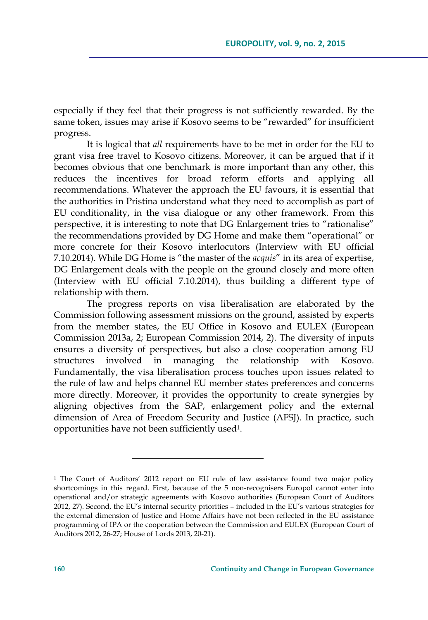especially if they feel that their progress is not sufficiently rewarded. By the same token, issues may arise if Kosovo seems to be "rewarded" for insufficient progress.

It is logical that *all* requirements have to be met in order for the EU to grant visa free travel to Kosovo citizens. Moreover, it can be argued that if it becomes obvious that one benchmark is more important than any other, this reduces the incentives for broad reform efforts and applying all recommendations. Whatever the approach the EU favours, it is essential that the authorities in Pristina understand what they need to accomplish as part of EU conditionality, in the visa dialogue or any other framework. From this perspective, it is interesting to note that DG Enlargement tries to "rationalise" the recommendations provided by DG Home and make them "operational" or more concrete for their Kosovo interlocutors (Interview with EU official 7.10.2014). While DG Home is "the master of the *acquis*" in its area of expertise, DG Enlargement deals with the people on the ground closely and more often (Interview with EU official 7.10.2014), thus building a different type of relationship with them.

The progress reports on visa liberalisation are elaborated by the Commission following assessment missions on the ground, assisted by experts from the member states, the EU Office in Kosovo and EULEX (European Commission 2013a, 2; European Commission 2014, 2). The diversity of inputs ensures a diversity of perspectives, but also a close cooperation among EU structures involved in managing the relationship with Kosovo. Fundamentally, the visa liberalisation process touches upon issues related to the rule of law and helps channel EU member states preferences and concerns more directly. Moreover, it provides the opportunity to create synergies by aligning objectives from the SAP, enlargement policy and the external dimension of Area of Freedom Security and Justice (AFSJ). In practice, such opportunities have not been sufficiently used1.

<sup>&</sup>lt;sup>1</sup> The Court of Auditors' 2012 report on EU rule of law assistance found two major policy shortcomings in this regard. First, because of the 5 non-recognisers Europol cannot enter into operational and/or strategic agreements with Kosovo authorities (European Court of Auditors 2012, 27). Second, the EU's internal security priorities – included in the EU's various strategies for the external dimension of Justice and Home Affairs have not been reflected in the EU assistance programming of IPA or the cooperation between the Commission and EULEX (European Court of Auditors 2012, 26-27; House of Lords 2013, 20-21).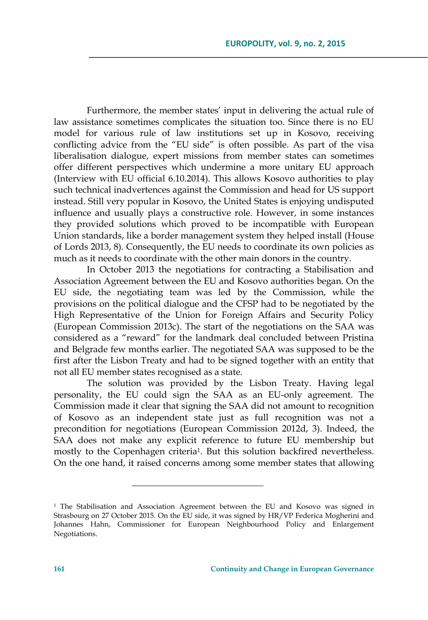Furthermore, the member states' input in delivering the actual rule of law assistance sometimes complicates the situation too. Since there is no EU model for various rule of law institutions set up in Kosovo, receiving conflicting advice from the "EU side" is often possible. As part of the visa liberalisation dialogue, expert missions from member states can sometimes offer different perspectives which undermine a more unitary EU approach (Interview with EU official 6.10.2014). This allows Kosovo authorities to play such technical inadvertences against the Commission and head for US support instead. Still very popular in Kosovo, the United States is enjoying undisputed influence and usually plays a constructive role. However, in some instances they provided solutions which proved to be incompatible with European Union standards, like a border management system they helped install (House of Lords 2013, 8). Consequently, the EU needs to coordinate its own policies as much as it needs to coordinate with the other main donors in the country.

In October 2013 the negotiations for contracting a Stabilisation and Association Agreement between the EU and Kosovo authorities began. On the EU side, the negotiating team was led by the Commission, while the provisions on the political dialogue and the CFSP had to be negotiated by the High Representative of the Union for Foreign Affairs and Security Policy (European Commission 2013c). The start of the negotiations on the SAA was considered as a "reward" for the landmark deal concluded between Pristina and Belgrade few months earlier. The negotiated SAA was supposed to be the first after the Lisbon Treaty and had to be signed together with an entity that not all EU member states recognised as a state.

The solution was provided by the Lisbon Treaty. Having legal personality, the EU could sign the SAA as an EU-only agreement. The Commission made it clear that signing the SAA did not amount to recognition of Kosovo as an independent state just as full recognition was not a precondition for negotiations (European Commission 2012d, 3). Indeed, the SAA does not make any explicit reference to future EU membership but mostly to the Copenhagen criteria1. But this solution backfired nevertheless. On the one hand, it raised concerns among some member states that allowing

<sup>1</sup> The Stabilisation and Association Agreement between the EU and Kosovo was signed in Strasbourg on 27 October 2015. On the EU side, it was signed by HR/VP Federica Mogherini and Johannes Hahn, Commissioner for European Neighbourhood Policy and Enlargement Negotiations.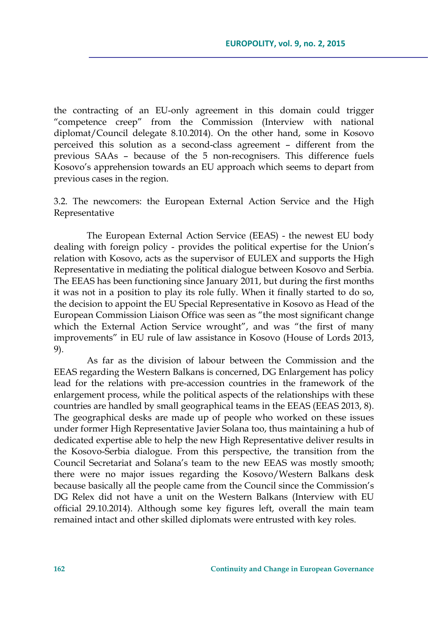the contracting of an EU-only agreement in this domain could trigger "competence creep" from the Commission (Interview with national diplomat/Council delegate 8.10.2014). On the other hand, some in Kosovo perceived this solution as a second-class agreement – different from the previous SAAs – because of the 5 non-recognisers. This difference fuels Kosovo's apprehension towards an EU approach which seems to depart from previous cases in the region.

3.2. The newcomers: the European External Action Service and the High Representative

The European External Action Service (EEAS) - the newest EU body dealing with foreign policy - provides the political expertise for the Union's relation with Kosovo, acts as the supervisor of EULEX and supports the High Representative in mediating the political dialogue between Kosovo and Serbia. The EEAS has been functioning since January 2011, but during the first months it was not in a position to play its role fully. When it finally started to do so, the decision to appoint the EU Special Representative in Kosovo as Head of the European Commission Liaison Office was seen as "the most significant change which the External Action Service wrought", and was "the first of many improvements" in EU rule of law assistance in Kosovo (House of Lords 2013, 9).

As far as the division of labour between the Commission and the EEAS regarding the Western Balkans is concerned, DG Enlargement has policy lead for the relations with pre-accession countries in the framework of the enlargement process, while the political aspects of the relationships with these countries are handled by small geographical teams in the EEAS (EEAS 2013, 8). The geographical desks are made up of people who worked on these issues under former High Representative Javier Solana too, thus maintaining a hub of dedicated expertise able to help the new High Representative deliver results in the Kosovo-Serbia dialogue. From this perspective, the transition from the Council Secretariat and Solana's team to the new EEAS was mostly smooth; there were no major issues regarding the Kosovo/Western Balkans desk because basically all the people came from the Council since the Commission's DG Relex did not have a unit on the Western Balkans (Interview with EU official 29.10.2014). Although some key figures left, overall the main team remained intact and other skilled diplomats were entrusted with key roles.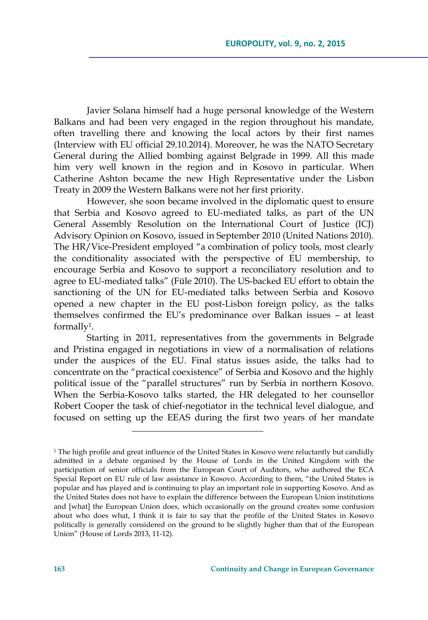Javier Solana himself had a huge personal knowledge of the Western Balkans and had been very engaged in the region throughout his mandate, often travelling there and knowing the local actors by their first names (Interview with EU official 29.10.2014). Moreover, he was the NATO Secretary General during the Allied bombing against Belgrade in 1999. All this made him very well known in the region and in Kosovo in particular. When Catherine Ashton became the new High Representative under the Lisbon Treaty in 2009 the Western Balkans were not her first priority.

However, she soon became involved in the diplomatic quest to ensure that Serbia and Kosovo agreed to EU-mediated talks, as part of the UN General Assembly Resolution on the International Court of Justice (ICJ) Advisory Opinion on Kosovo, issued in September 2010 (United Nations 2010). The HR/Vice-President employed "a combination of policy tools, most clearly the conditionality associated with the perspective of EU membership, to encourage Serbia and Kosovo to support a reconciliatory resolution and to agree to EU-mediated talks" (Füle 2010). The US-backed EU effort to obtain the sanctioning of the UN for EU-mediated talks between Serbia and Kosovo opened a new chapter in the EU post-Lisbon foreign policy, as the talks themselves confirmed the EU's predominance over Balkan issues – at least formally1.

Starting in 2011, representatives from the governments in Belgrade and Pristina engaged in negotiations in view of a normalisation of relations under the auspices of the EU. Final status issues aside, the talks had to concentrate on the "practical coexistence" of Serbia and Kosovo and the highly political issue of the "parallel structures" run by Serbia in northern Kosovo. When the Serbia-Kosovo talks started, the HR delegated to her counsellor Robert Cooper the task of chief-negotiator in the technical level dialogue, and focused on setting up the EEAS during the first two years of her mandate

<u> 1989 - Johann Barn, mars eta inperiodo</u>

<sup>&</sup>lt;sup>1</sup> The high profile and great influence of the United States in Kosovo were reluctantly but candidly admitted in a debate organised by the House of Lords in the United Kingdom with the participation of senior officials from the European Court of Auditors, who authored the ECA Special Report on EU rule of law assistance in Kosovo. According to them, "the United States is popular and has played and is continuing to play an important role in supporting Kosovo. And as the United States does not have to explain the difference between the European Union institutions and [what] the European Union does, which occasionally on the ground creates some confusion about who does what, I think it is fair to say that the profile of the United States in Kosovo politically is generally considered on the ground to be slightly higher than that of the European Union" (House of Lords 2013, 11-12).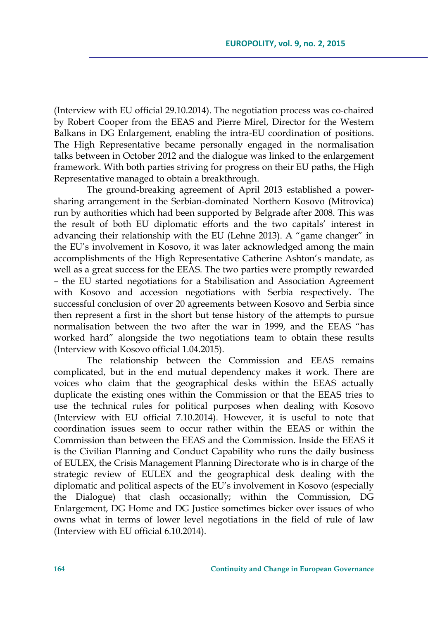(Interview with EU official 29.10.2014). The negotiation process was co-chaired by Robert Cooper from the EEAS and Pierre Mirel, Director for the Western Balkans in DG Enlargement, enabling the intra-EU coordination of positions. The High Representative became personally engaged in the normalisation talks between in October 2012 and the dialogue was linked to the enlargement framework. With both parties striving for progress on their EU paths, the High Representative managed to obtain a breakthrough.

The ground-breaking agreement of April 2013 established a powersharing arrangement in the Serbian-dominated Northern Kosovo (Mitrovica) run by authorities which had been supported by Belgrade after 2008. This was the result of both EU diplomatic efforts and the two capitals' interest in advancing their relationship with the EU (Lehne 2013). A "game changer" in the EU's involvement in Kosovo, it was later acknowledged among the main accomplishments of the High Representative Catherine Ashton's mandate, as well as a great success for the EEAS. The two parties were promptly rewarded – the EU started negotiations for a Stabilisation and Association Agreement with Kosovo and accession negotiations with Serbia respectively. The successful conclusion of over 20 agreements between Kosovo and Serbia since then represent a first in the short but tense history of the attempts to pursue normalisation between the two after the war in 1999, and the EEAS "has worked hard" alongside the two negotiations team to obtain these results (Interview with Kosovo official 1.04.2015).

The relationship between the Commission and EEAS remains complicated, but in the end mutual dependency makes it work. There are voices who claim that the geographical desks within the EEAS actually duplicate the existing ones within the Commission or that the EEAS tries to use the technical rules for political purposes when dealing with Kosovo (Interview with EU official 7.10.2014). However, it is useful to note that coordination issues seem to occur rather within the EEAS or within the Commission than between the EEAS and the Commission. Inside the EEAS it is the Civilian Planning and Conduct Capability who runs the daily business of EULEX, the Crisis Management Planning Directorate who is in charge of the strategic review of EULEX and the geographical desk dealing with the diplomatic and political aspects of the EU's involvement in Kosovo (especially the Dialogue) that clash occasionally; within the Commission, DG Enlargement, DG Home and DG Justice sometimes bicker over issues of who owns what in terms of lower level negotiations in the field of rule of law (Interview with EU official 6.10.2014).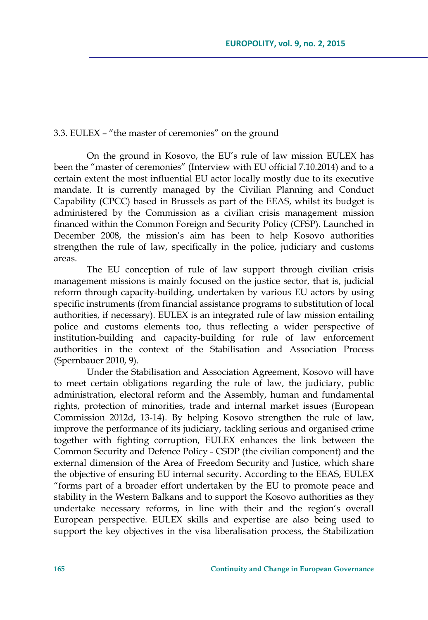### 3.3. EULEX – "the master of ceremonies" on the ground

On the ground in Kosovo, the EU's rule of law mission EULEX has been the "master of ceremonies" (Interview with EU official 7.10.2014) and to a certain extent the most influential EU actor locally mostly due to its executive mandate. It is currently managed by the Civilian Planning and Conduct Capability (CPCC) based in Brussels as part of the EEAS, whilst its budget is administered by the Commission as a civilian crisis management mission financed within the Common Foreign and Security Policy (CFSP). Launched in December 2008, the mission's aim has been to help Kosovo authorities strengthen the rule of law, specifically in the police, judiciary and customs areas.

The EU conception of rule of law support through civilian crisis management missions is mainly focused on the justice sector, that is, judicial reform through capacity-building, undertaken by various EU actors by using specific instruments (from financial assistance programs to substitution of local authorities, if necessary). EULEX is an integrated rule of law mission entailing police and customs elements too, thus reflecting a wider perspective of institution-building and capacity-building for rule of law enforcement authorities in the context of the Stabilisation and Association Process (Spernbauer 2010, 9).

Under the Stabilisation and Association Agreement, Kosovo will have to meet certain obligations regarding the rule of law, the judiciary, public administration, electoral reform and the Assembly, human and fundamental rights, protection of minorities, trade and internal market issues (European Commission 2012d, 13-14). By helping Kosovo strengthen the rule of law, improve the performance of its judiciary, tackling serious and organised crime together with fighting corruption, EULEX enhances the link between the Common Security and Defence Policy - CSDP (the civilian component) and the external dimension of the Area of Freedom Security and Justice, which share the objective of ensuring EU internal security. According to the EEAS, EULEX "forms part of a broader effort undertaken by the EU to promote peace and stability in the Western Balkans and to support the Kosovo authorities as they undertake necessary reforms, in line with their and the region's overall European perspective. EULEX skills and expertise are also being used to support the key objectives in the visa liberalisation process, the Stabilization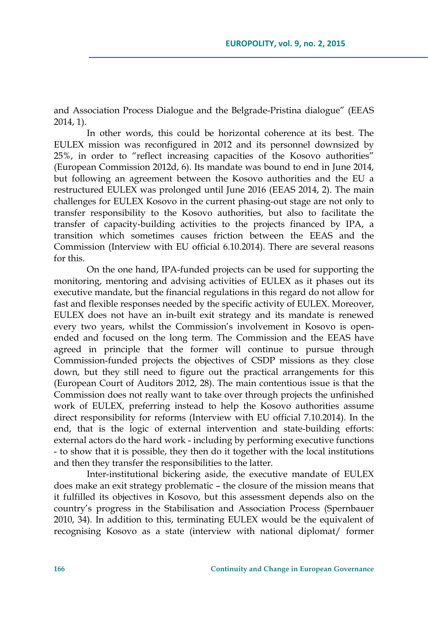and Association Process Dialogue and the Belgrade-Pristina dialogue" (EEAS 2014, 1).

In other words, this could be horizontal coherence at its best. The EULEX mission was reconfigured in 2012 and its personnel downsized by 25%, in order to "reflect increasing capacities of the Kosovo authorities" (European Commission 2012d, 6). Its mandate was bound to end in June 2014, but following an agreement between the Kosovo authorities and the EU a restructured EULEX was prolonged until June 2016 (EEAS 2014, 2). The main challenges for EULEX Kosovo in the current phasing-out stage are not only to transfer responsibility to the Kosovo authorities, but also to facilitate the transfer of capacity-building activities to the projects financed by IPA, a transition which sometimes causes friction between the EEAS and the Commission (Interview with EU official 6.10.2014). There are several reasons for this.

On the one hand, IPA-funded projects can be used for supporting the monitoring, mentoring and advising activities of EULEX as it phases out its executive mandate, but the financial regulations in this regard do not allow for fast and flexible responses needed by the specific activity of EULEX. Moreover, EULEX does not have an in-built exit strategy and its mandate is renewed every two years, whilst the Commission's involvement in Kosovo is openended and focused on the long term. The Commission and the EEAS have agreed in principle that the former will continue to pursue through Commission-funded projects the objectives of CSDP missions as they close down, but they still need to figure out the practical arrangements for this (European Court of Auditors 2012, 28). The main contentious issue is that the Commission does not really want to take over through projects the unfinished work of EULEX, preferring instead to help the Kosovo authorities assume direct responsibility for reforms (Interview with EU official 7.10.2014). In the end, that is the logic of external intervention and state-building efforts: external actors do the hard work - including by performing executive functions - to show that it is possible, they then do it together with the local institutions and then they transfer the responsibilities to the latter.

Inter-institutional bickering aside, the executive mandate of EULEX does make an exit strategy problematic – the closure of the mission means that it fulfilled its objectives in Kosovo, but this assessment depends also on the country's progress in the Stabilisation and Association Process (Spernbauer 2010, 34). In addition to this, terminating EULEX would be the equivalent of recognising Kosovo as a state (interview with national diplomat/ former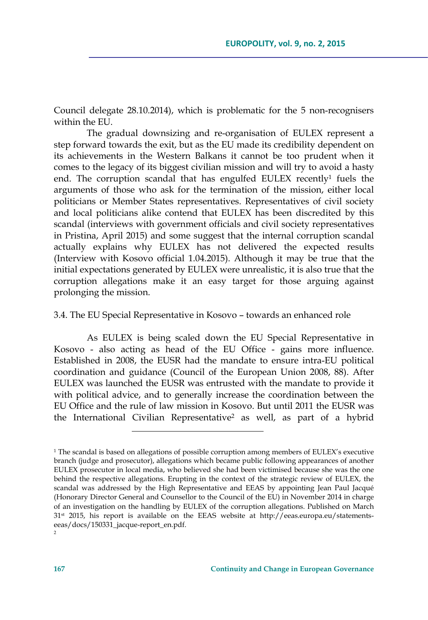Council delegate 28.10.2014), which is problematic for the 5 non-recognisers within the EU.

The gradual downsizing and re-organisation of EULEX represent a step forward towards the exit, but as the EU made its credibility dependent on its achievements in the Western Balkans it cannot be too prudent when it comes to the legacy of its biggest civilian mission and will try to avoid a hasty end. The corruption scandal that has engulfed EULEX recently<sup>1</sup> fuels the arguments of those who ask for the termination of the mission, either local politicians or Member States representatives. Representatives of civil society and local politicians alike contend that EULEX has been discredited by this scandal (interviews with government officials and civil society representatives in Pristina, April 2015) and some suggest that the internal corruption scandal actually explains why EULEX has not delivered the expected results (Interview with Kosovo official 1.04.2015). Although it may be true that the initial expectations generated by EULEX were unrealistic, it is also true that the corruption allegations make it an easy target for those arguing against prolonging the mission.

#### 3.4. The EU Special Representative in Kosovo – towards an enhanced role

As EULEX is being scaled down the EU Special Representative in Kosovo - also acting as head of the EU Office - gains more influence. Established in 2008, the EUSR had the mandate to ensure intra-EU political coordination and guidance (Council of the European Union 2008, 88). After EULEX was launched the EUSR was entrusted with the mandate to provide it with political advice, and to generally increase the coordination between the EU Office and the rule of law mission in Kosovo. But until 2011 the EUSR was the International Civilian Representative2 as well, as part of a hybrid

<u> 1989 - Johann Barn, mars eta inperiodo</u>

<sup>1</sup> The scandal is based on allegations of possible corruption among members of EULEX's executive branch (judge and prosecutor), allegations which became public following appearances of another EULEX prosecutor in local media, who believed she had been victimised because she was the one behind the respective allegations. Erupting in the context of the strategic review of EULEX, the scandal was addressed by the High Representative and EEAS by appointing Jean Paul Jacqué (Honorary Director General and Counsellor to the Council of the EU) in November 2014 in charge of an investigation on the handling by EULEX of the corruption allegations. Published on March 31st 2015, his report is available on the EEAS website at http://eeas.europa.eu/statementseeas/docs/150331\_jacque-report\_en.pdf.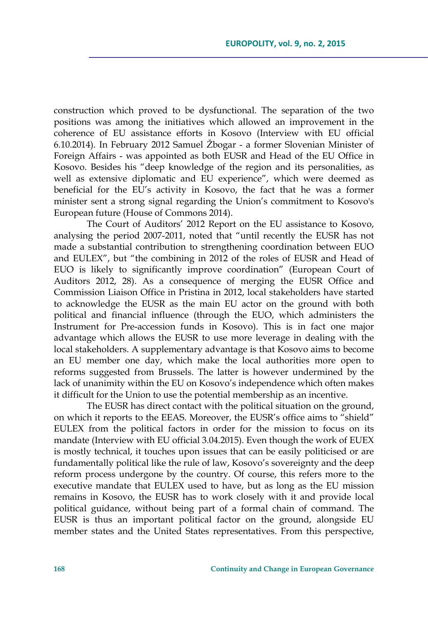construction which proved to be dysfunctional. The separation of the two positions was among the initiatives which allowed an improvement in the coherence of EU assistance efforts in Kosovo (Interview with EU official 6.10.2014). In February 2012 Samuel Žbogar - a former Slovenian Minister of Foreign Affairs - was appointed as both EUSR and Head of the EU Office in Kosovo. Besides his "deep knowledge of the region and its personalities, as well as extensive diplomatic and EU experience", which were deemed as beneficial for the EU's activity in Kosovo, the fact that he was a former minister sent a strong signal regarding the Union's commitment to Kosovo's European future (House of Commons 2014).

The Court of Auditors' 2012 Report on the EU assistance to Kosovo, analysing the period 2007-2011, noted that "until recently the EUSR has not made a substantial contribution to strengthening coordination between EUO and EULEX", but "the combining in 2012 of the roles of EUSR and Head of EUO is likely to significantly improve coordination" (European Court of Auditors 2012, 28). As a consequence of merging the EUSR Office and Commission Liaison Office in Pristina in 2012, local stakeholders have started to acknowledge the EUSR as the main EU actor on the ground with both political and financial influence (through the EUO, which administers the Instrument for Pre-accession funds in Kosovo). This is in fact one major advantage which allows the EUSR to use more leverage in dealing with the local stakeholders. A supplementary advantage is that Kosovo aims to become an EU member one day, which make the local authorities more open to reforms suggested from Brussels. The latter is however undermined by the lack of unanimity within the EU on Kosovo's independence which often makes it difficult for the Union to use the potential membership as an incentive.

The EUSR has direct contact with the political situation on the ground, on which it reports to the EEAS. Moreover, the EUSR's office aims to "shield" EULEX from the political factors in order for the mission to focus on its mandate (Interview with EU official 3.04.2015). Even though the work of EUEX is mostly technical, it touches upon issues that can be easily politicised or are fundamentally political like the rule of law, Kosovo's sovereignty and the deep reform process undergone by the country. Of course, this refers more to the executive mandate that EULEX used to have, but as long as the EU mission remains in Kosovo, the EUSR has to work closely with it and provide local political guidance, without being part of a formal chain of command. The EUSR is thus an important political factor on the ground, alongside EU member states and the United States representatives. From this perspective,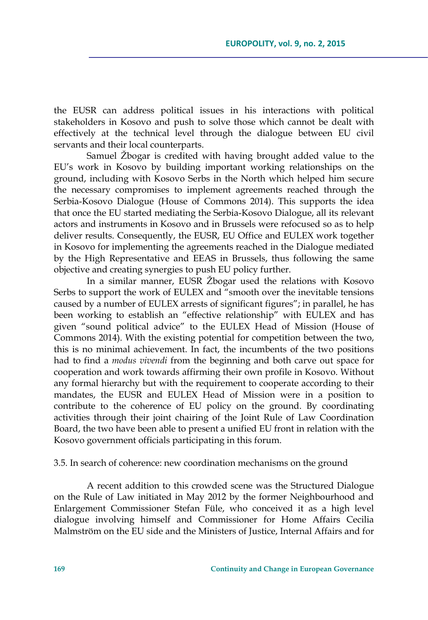the EUSR can address political issues in his interactions with political stakeholders in Kosovo and push to solve those which cannot be dealt with effectively at the technical level through the dialogue between EU civil servants and their local counterparts.

Samuel Žbogar is credited with having brought added value to the EU's work in Kosovo by building important working relationships on the ground, including with Kosovo Serbs in the North which helped him secure the necessary compromises to implement agreements reached through the Serbia-Kosovo Dialogue (House of Commons 2014). This supports the idea that once the EU started mediating the Serbia-Kosovo Dialogue, all its relevant actors and instruments in Kosovo and in Brussels were refocused so as to help deliver results. Consequently, the EUSR, EU Office and EULEX work together in Kosovo for implementing the agreements reached in the Dialogue mediated by the High Representative and EEAS in Brussels, thus following the same objective and creating synergies to push EU policy further.

In a similar manner, EUSR Žbogar used the relations with Kosovo Serbs to support the work of EULEX and "smooth over the inevitable tensions caused by a number of EULEX arrests of significant figures"; in parallel, he has been working to establish an "effective relationship" with EULEX and has given "sound political advice" to the EULEX Head of Mission (House of Commons 2014). With the existing potential for competition between the two, this is no minimal achievement. In fact, the incumbents of the two positions had to find a *modus vivendi* from the beginning and both carve out space for cooperation and work towards affirming their own profile in Kosovo. Without any formal hierarchy but with the requirement to cooperate according to their mandates, the EUSR and EULEX Head of Mission were in a position to contribute to the coherence of EU policy on the ground. By coordinating activities through their joint chairing of the Joint Rule of Law Coordination Board, the two have been able to present a unified EU front in relation with the Kosovo government officials participating in this forum.

#### 3.5. In search of coherence: new coordination mechanisms on the ground

A recent addition to this crowded scene was the Structured Dialogue on the Rule of Law initiated in May 2012 by the former Neighbourhood and Enlargement Commissioner Stefan Füle, who conceived it as a high level dialogue involving himself and Commissioner for Home Affairs Cecilia Malmström on the EU side and the Ministers of Justice, Internal Affairs and for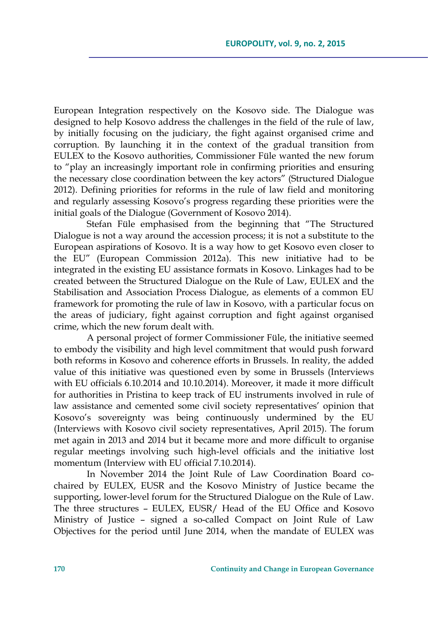European Integration respectively on the Kosovo side. The Dialogue was designed to help Kosovo address the challenges in the field of the rule of law, by initially focusing on the judiciary, the fight against organised crime and corruption. By launching it in the context of the gradual transition from EULEX to the Kosovo authorities, Commissioner Füle wanted the new forum to "play an increasingly important role in confirming priorities and ensuring the necessary close coordination between the key actors" (Structured Dialogue 2012). Defining priorities for reforms in the rule of law field and monitoring and regularly assessing Kosovo's progress regarding these priorities were the initial goals of the Dialogue (Government of Kosovo 2014).

Stefan Füle emphasised from the beginning that "The Structured Dialogue is not a way around the accession process; it is not a substitute to the European aspirations of Kosovo. It is a way how to get Kosovo even closer to the EU" (European Commission 2012a). This new initiative had to be integrated in the existing EU assistance formats in Kosovo. Linkages had to be created between the Structured Dialogue on the Rule of Law, EULEX and the Stabilisation and Association Process Dialogue, as elements of a common EU framework for promoting the rule of law in Kosovo, with a particular focus on the areas of judiciary, fight against corruption and fight against organised crime, which the new forum dealt with.

A personal project of former Commissioner Füle, the initiative seemed to embody the visibility and high level commitment that would push forward both reforms in Kosovo and coherence efforts in Brussels. In reality, the added value of this initiative was questioned even by some in Brussels (Interviews with EU officials 6.10.2014 and 10.10.2014). Moreover, it made it more difficult for authorities in Pristina to keep track of EU instruments involved in rule of law assistance and cemented some civil society representatives' opinion that Kosovo's sovereignty was being continuously undermined by the EU (Interviews with Kosovo civil society representatives, April 2015). The forum met again in 2013 and 2014 but it became more and more difficult to organise regular meetings involving such high-level officials and the initiative lost momentum (Interview with EU official 7.10.2014).

In November 2014 the Joint Rule of Law Coordination Board cochaired by EULEX, EUSR and the Kosovo Ministry of Justice became the supporting, lower-level forum for the Structured Dialogue on the Rule of Law. The three structures – EULEX, EUSR/ Head of the EU Office and Kosovo Ministry of Justice – signed a so-called Compact on Joint Rule of Law Objectives for the period until June 2014, when the mandate of EULEX was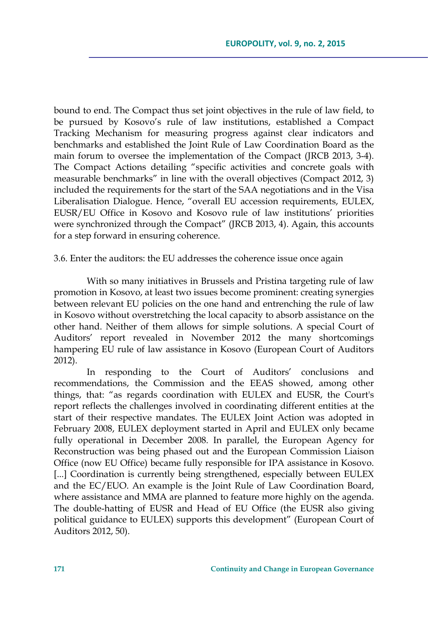bound to end. The Compact thus set joint objectives in the rule of law field, to be pursued by Kosovo's rule of law institutions, established a Compact Tracking Mechanism for measuring progress against clear indicators and benchmarks and established the Joint Rule of Law Coordination Board as the main forum to oversee the implementation of the Compact (JRCB 2013, 3-4). The Compact Actions detailing "specific activities and concrete goals with measurable benchmarks" in line with the overall objectives (Compact 2012, 3) included the requirements for the start of the SAA negotiations and in the Visa Liberalisation Dialogue. Hence, "overall EU accession requirements, EULEX, EUSR/EU Office in Kosovo and Kosovo rule of law institutions' priorities were synchronized through the Compact" (JRCB 2013, 4). Again, this accounts for a step forward in ensuring coherence.

3.6. Enter the auditors: the EU addresses the coherence issue once again

With so many initiatives in Brussels and Pristina targeting rule of law promotion in Kosovo, at least two issues become prominent: creating synergies between relevant EU policies on the one hand and entrenching the rule of law in Kosovo without overstretching the local capacity to absorb assistance on the other hand. Neither of them allows for simple solutions. A special Court of Auditors' report revealed in November 2012 the many shortcomings hampering EU rule of law assistance in Kosovo (European Court of Auditors 2012).

In responding to the Court of Auditors' conclusions and recommendations, the Commission and the EEAS showed, among other things, that: "as regards coordination with EULEX and EUSR, the Court's report reflects the challenges involved in coordinating different entities at the start of their respective mandates. The EULEX Joint Action was adopted in February 2008, EULEX deployment started in April and EULEX only became fully operational in December 2008. In parallel, the European Agency for Reconstruction was being phased out and the European Commission Liaison Office (now EU Office) became fully responsible for IPA assistance in Kosovo. [...] Coordination is currently being strengthened, especially between EULEX and the EC/EUO. An example is the Joint Rule of Law Coordination Board, where assistance and MMA are planned to feature more highly on the agenda. The double-hatting of EUSR and Head of EU Office (the EUSR also giving political guidance to EULEX) supports this development" (European Court of Auditors 2012, 50).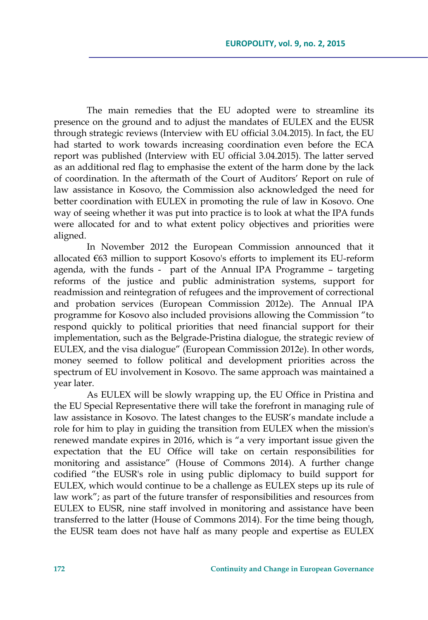The main remedies that the EU adopted were to streamline its presence on the ground and to adjust the mandates of EULEX and the EUSR through strategic reviews (Interview with EU official 3.04.2015). In fact, the EU had started to work towards increasing coordination even before the ECA report was published (Interview with EU official 3.04.2015). The latter served as an additional red flag to emphasise the extent of the harm done by the lack of coordination. In the aftermath of the Court of Auditors' Report on rule of law assistance in Kosovo, the Commission also acknowledged the need for better coordination with EULEX in promoting the rule of law in Kosovo. One way of seeing whether it was put into practice is to look at what the IPA funds were allocated for and to what extent policy objectives and priorities were aligned.

In November 2012 the European Commission announced that it allocated €63 million to support Kosovo's efforts to implement its EU-reform agenda, with the funds - part of the Annual IPA Programme – targeting reforms of the justice and public administration systems, support for readmission and reintegration of refugees and the improvement of correctional and probation services (European Commission 2012e). The Annual IPA programme for Kosovo also included provisions allowing the Commission "to respond quickly to political priorities that need financial support for their implementation, such as the Belgrade-Pristina dialogue, the strategic review of EULEX, and the visa dialogue" (European Commission 2012e). In other words, money seemed to follow political and development priorities across the spectrum of EU involvement in Kosovo. The same approach was maintained a year later.

As EULEX will be slowly wrapping up, the EU Office in Pristina and the EU Special Representative there will take the forefront in managing rule of law assistance in Kosovo. The latest changes to the EUSR's mandate include a role for him to play in guiding the transition from EULEX when the mission's renewed mandate expires in 2016, which is "a very important issue given the expectation that the EU Office will take on certain responsibilities for monitoring and assistance" (House of Commons 2014). A further change codified "the EUSR's role in using public diplomacy to build support for EULEX, which would continue to be a challenge as EULEX steps up its rule of law work"; as part of the future transfer of responsibilities and resources from EULEX to EUSR, nine staff involved in monitoring and assistance have been transferred to the latter (House of Commons 2014). For the time being though, the EUSR team does not have half as many people and expertise as EULEX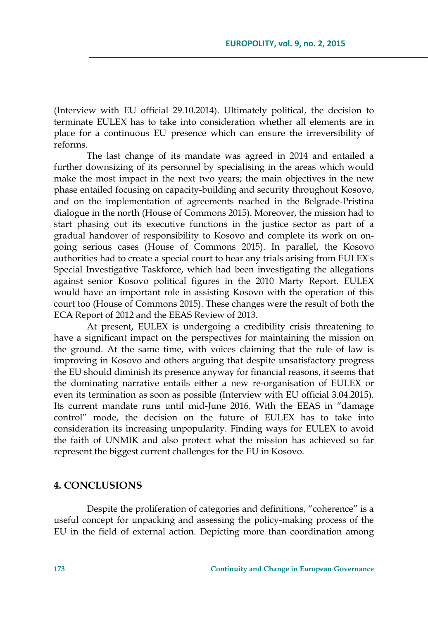(Interview with EU official 29.10.2014). Ultimately political, the decision to terminate EULEX has to take into consideration whether all elements are in place for a continuous EU presence which can ensure the irreversibility of reforms.

The last change of its mandate was agreed in 2014 and entailed a further downsizing of its personnel by specialising in the areas which would make the most impact in the next two years; the main objectives in the new phase entailed focusing on capacity-building and security throughout Kosovo, and on the implementation of agreements reached in the Belgrade-Pristina dialogue in the north (House of Commons 2015). Moreover, the mission had to start phasing out its executive functions in the justice sector as part of a gradual handover of responsibility to Kosovo and complete its work on ongoing serious cases (House of Commons 2015). In parallel, the Kosovo authorities had to create a special court to hear any trials arising from EULEX's Special Investigative Taskforce, which had been investigating the allegations against senior Kosovo political figures in the 2010 Marty Report. EULEX would have an important role in assisting Kosovo with the operation of this court too (House of Commons 2015). These changes were the result of both the ECA Report of 2012 and the EEAS Review of 2013.

At present, EULEX is undergoing a credibility crisis threatening to have a significant impact on the perspectives for maintaining the mission on the ground. At the same time, with voices claiming that the rule of law is improving in Kosovo and others arguing that despite unsatisfactory progress the EU should diminish its presence anyway for financial reasons, it seems that the dominating narrative entails either a new re-organisation of EULEX or even its termination as soon as possible (Interview with EU official 3.04.2015). Its current mandate runs until mid-June 2016. With the EEAS in "damage control" mode, the decision on the future of EULEX has to take into consideration its increasing unpopularity. Finding ways for EULEX to avoid the faith of UNMIK and also protect what the mission has achieved so far represent the biggest current challenges for the EU in Kosovo.

### **4. CONCLUSIONS**

Despite the proliferation of categories and definitions, "coherence" is a useful concept for unpacking and assessing the policy-making process of the EU in the field of external action. Depicting more than coordination among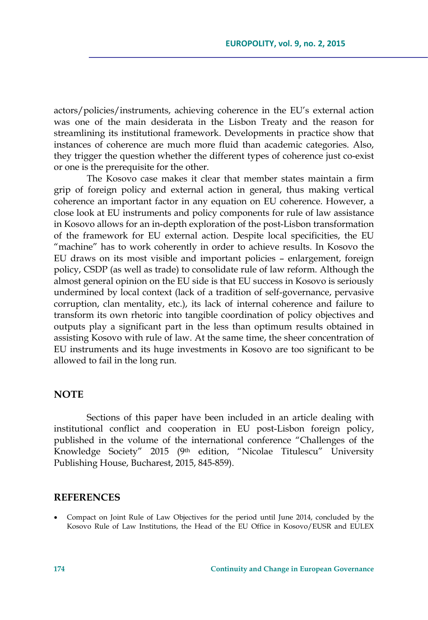actors/policies/instruments, achieving coherence in the EU's external action was one of the main desiderata in the Lisbon Treaty and the reason for streamlining its institutional framework. Developments in practice show that instances of coherence are much more fluid than academic categories. Also, they trigger the question whether the different types of coherence just co-exist or one is the prerequisite for the other.

The Kosovo case makes it clear that member states maintain a firm grip of foreign policy and external action in general, thus making vertical coherence an important factor in any equation on EU coherence. However, a close look at EU instruments and policy components for rule of law assistance in Kosovo allows for an in-depth exploration of the post-Lisbon transformation of the framework for EU external action. Despite local specificities, the EU "machine" has to work coherently in order to achieve results. In Kosovo the EU draws on its most visible and important policies – enlargement, foreign policy, CSDP (as well as trade) to consolidate rule of law reform. Although the almost general opinion on the EU side is that EU success in Kosovo is seriously undermined by local context (lack of a tradition of self-governance, pervasive corruption, clan mentality, etc.), its lack of internal coherence and failure to transform its own rhetoric into tangible coordination of policy objectives and outputs play a significant part in the less than optimum results obtained in assisting Kosovo with rule of law. At the same time, the sheer concentration of EU instruments and its huge investments in Kosovo are too significant to be allowed to fail in the long run.

### **NOTE**

Sections of this paper have been included in an article dealing with institutional conflict and cooperation in EU post-Lisbon foreign policy, published in the volume of the international conference "Challenges of the Knowledge Society" 2015 (9th edition, "Nicolae Titulescu" University Publishing House, Bucharest, 2015, 845-859).

#### **REFERENCES**

 Compact on Joint Rule of Law Objectives for the period until June 2014, concluded by the Kosovo Rule of Law Institutions, the Head of the EU Office in Kosovo/EUSR and EULEX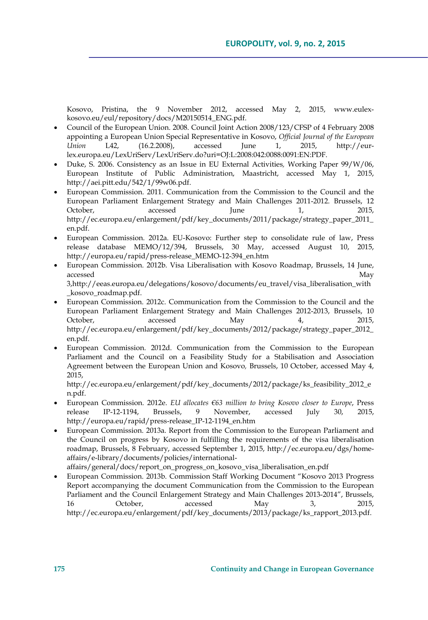Kosovo, Pristina, the 9 November 2012, accessed May 2, 2015, www.eulexkosovo.eu/eul/repository/docs/M20150514\_ENG.pdf.

- Council of the European Union. 2008. Council Joint Action 2008/123/CFSP of 4 February 2008 appointing a European Union Special Representative in Kosovo, *Official Journal of the European Union* L42, (16.2.2008), accessed June 1, 2015, http://eurlex.europa.eu/LexUriServ/LexUriServ.do?uri=OJ:L:2008:042:0088:0091:EN:PDF.
- Duke, S. 2006. Consistency as an Issue in EU External Activities*,* Working Paper 99/W/06, European Institute of Public Administration, Maastricht, accessed May 1, 2015, http://aei.pitt.edu/542/1/99w06.pdf.
- European Commission. 2011. Communication from the Commission to the Council and the European Parliament Enlargement Strategy and Main Challenges 2011-2012. Brussels, 12 October, accessed June 1, 2015, http://ec.europa.eu/enlargement/pdf/key\_documents/2011/package/strategy\_paper\_2011\_ en.pdf.
- European Commission. 2012a. EU-Kosovo: Further step to consolidate rule of law, Press release database MEMO/12/394, Brussels, 30 May, accessed August 10, 2015, http://europa.eu/rapid/press-release\_MEMO-12-394\_en.htm
- European Commission. 2012b. Visa Liberalisation with Kosovo Roadmap, Brussels, 14 June, accessed May 3,http://eeas.europa.eu/delegations/kosovo/documents/eu\_travel/visa\_liberalisation\_with \_kosovo\_roadmap.pdf.
- European Commission. 2012c. Communication from the Commission to the Council and the European Parliament Enlargement Strategy and Main Challenges 2012-2013, Brussels, 10 October, accessed May 4, 2015, http://ec.europa.eu/enlargement/pdf/key\_documents/2012/package/strategy\_paper\_2012\_ en.pdf.
- European Commission. 2012d. Communication from the Commission to the European Parliament and the Council on a Feasibility Study for a Stabilisation and Association Agreement between the European Union and Kosovo*,* Brussels, 10 October, accessed May 4, 2015,

http://ec.europa.eu/enlargement/pdf/key\_documents/2012/package/ks\_feasibility\_2012\_e n.pdf.

- European Commission. 2012e. *EU allocates €63 million to bring Kosovo closer to Europe*, Press release IP-12-1194, Brussels, 9 November, accessed July 30, 2015, http://europa.eu/rapid/press-release\_IP-12-1194\_en.htm
- European Commission. 2013a. Report from the Commission to the European Parliament and the Council on progress by Kosovo in fulfilling the requirements of the visa liberalisation roadmap, Brussels, 8 February, accessed September 1, 2015, http://ec.europa.eu/dgs/homeaffairs/e-library/documents/policies/international-
- affairs/general/docs/report\_on\_progress\_on\_kosovo\_visa\_liberalisation\_en.pdf European Commission. 2013b. Commission Staff Working Document "Kosovo 2013 Progress Report accompanying the document Communication from the Commission to the European Parliament and the Council Enlargement Strategy and Main Challenges 2013-2014", Brussels, 16 October, accessed May 3, 2015, http://ec.europa.eu/enlargement/pdf/key\_documents/2013/package/ks\_rapport\_2013.pdf.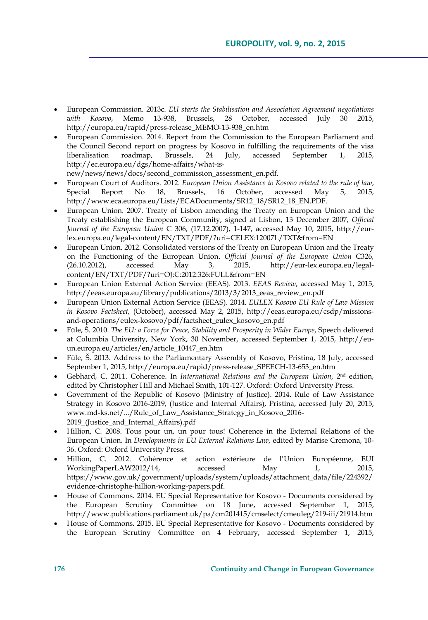- European Commission. 2013c. *EU starts the Stabilisation and Association Agreement negotiations with Kosovo*, Memo 13-938, Brussels, 28 October, accessed July 30 2015, http://europa.eu/rapid/press-release\_MEMO-13-938\_en.htm
- European Commission. 2014. Report from the Commission to the European Parliament and the Council Second report on progress by Kosovo in fulfilling the requirements of the visa liberalisation roadmap, Brussels, 24 July, accessed September 1, 2015, http://ec.europa.eu/dgs/home-affairs/what-isnew/news/news/docs/second\_commission\_assessment\_en.pdf.
- European Court of Auditors. 2012. *European Union Assistance to Kosovo related to the rule of law*, Special Report No 18, Brussels, 16 October, accessed May 5, 2015, http://www.eca.europa.eu/Lists/ECADocuments/SR12\_18/SR12\_18\_EN.PDF.
- European Union. 2007. Treaty of Lisbon amending the Treaty on European Union and the Treaty establishing the European Community, signed at Lisbon, 13 December 2007, *Official Journal of the European Union* C 306, (17.12.2007), 1-147, accessed May 10, 2015, http://eurlex.europa.eu/legal-content/EN/TXT/PDF/?uri=CELEX:12007L/TXT&from=EN
- European Union. 2012. Consolidated versions of the Treaty on European Union and the Treaty on the Functioning of the European Union. *Official Journal of the European Union* C326*,*  (26.10.2012), accessed May 3, 2015, http://eur-lex.europa.eu/legalcontent/EN/TXT/PDF/?uri=OJ:C:2012:326:FULL&from=EN
- European Union External Action Service (EEAS). 2013. *EEAS Review*, accessed May 1, 2015, http://eeas.europa.eu/library/publications/2013/3/2013\_eeas\_review\_en.pdf
- European Union External Action Service (EEAS). 2014. *EULEX Kosovo EU Rule of Law Mission in Kosovo Factsheet,* (October), accessed May 2, 2015, http://eeas.europa.eu/csdp/missionsand-operations/eulex-kosovo/pdf/factsheet\_eulex\_kosovo\_en.pdf
- Füle, Š. 2010. *The EU: a Force for Peace, Stability and Prosperity in Wider Europe*, Speech delivered at Columbia University, New York, 30 November, accessed September 1, 2015, http://euun.europa.eu/articles/en/article\_10447\_en.htm
- Füle, Š. 2013. Address to the Parliamentary Assembly of Kosovo, Pristina, 18 July, accessed September 1, 2015, http://europa.eu/rapid/press-release\_SPEECH-13-653\_en.htm
- Gebhard, C. 2011. Coherence. In *International Relations and the European Union*, 2nd edition, edited by Christopher Hill and Michael Smith, 101-127. Oxford: Oxford University Press.
- Government of the Republic of Kosovo (Ministry of Justice). 2014. Rule of Law Assistance Strategy in Kosovo 2016-2019, (Justice and Internal Affairs), Pristina, accessed July 20, 2015, www.md-ks.net/.../Rule\_of\_Law\_Assistance\_Strategy\_in\_Kosovo\_2016- 2019\_(Justice\_and\_Internal\_Affairs).pdf
- Hillion, C. 2008. Tous pour un, un pour tous! Coherence in the External Relations of the European Union. In *Developments in EU External Relations Law,* edited by Marise Cremona, 10- 36. Oxford: Oxford University Press.
- Hillion, C. 2012. Cohérence et action extérieure de l'Union Européenne, EUI WorkingPaperLAW2012/14, accessed May 1, 2015, https://www.gov.uk/government/uploads/system/uploads/attachment\_data/file/224392/ evidence-christophe-hillion-working-papers.pdf.
- House of Commons. 2014. EU Special Representative for Kosovo Documents considered by the European Scrutiny Committee on 18 June, accessed September 1, 2015, http://www.publications.parliament.uk/pa/cm201415/cmselect/cmeuleg/219-iii/21914.htm
- House of Commons. 2015. EU Special Representative for Kosovo Documents considered by the European Scrutiny Committee on 4 February, accessed September 1, 2015,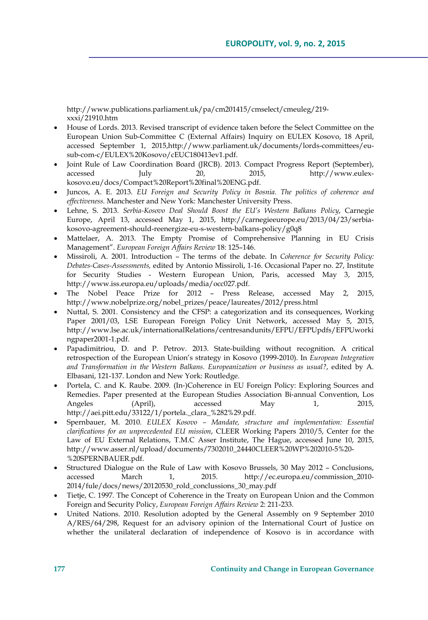http://www.publications.parliament.uk/pa/cm201415/cmselect/cmeuleg/219 xxxi/21910.htm

- House of Lords. 2013. Revised transcript of evidence taken before the Select Committee on the European Union Sub-Committee C (External Affairs) Inquiry on EULEX Kosovo, 18 April, accessed September 1, 2015,http://www.parliament.uk/documents/lords-committees/eusub-com-c/EULEX%20Kosovo/cEUC180413ev1.pdf.
- Joint Rule of Law Coordination Board (JRCB). 2013. Compact Progress Report (September), accessed July 20, 2015, http://www.eulexkosovo.eu/docs/Compact%20Report%20final%20ENG.pdf.
- Juncos, A. E. 2013. *EU Foreign and Security Policy in Bosnia. The politics of coherence and effectiveness.* Manchester and New York: Manchester University Press.
- Lehne, S. 2013. *Serbia-Kosovo Deal Should Boost the EU's Western Balkans Policy*, Carnegie Europe, April 13, accessed May 1, 2015, http://carnegieeurope.eu/2013/04/23/serbiakosovo-agreement-should-reenergize-eu-s-western-balkans-policy/g0q8
- Mattelaer, A. 2013. The Empty Promise of Comprehensive Planning in EU Crisis Management". *European Foreign Affairs Review* 18: 125–146.
- Missiroli, A. 2001. Introduction The terms of the debate. In *Coherence for Security Policy: Debates-Cases-Assessments,* edited by Antonio Missiroli, 1-16. Occasional Paper no. 27, Institute for Security Studies - Western European Union, Paris, accessed May 3, 2015, http://www.iss.europa.eu/uploads/media/occ027.pdf.
- The Nobel Peace Prize for 2012 Press Release, accessed May 2, 2015, http://www.nobelprize.org/nobel\_prizes/peace/laureates/2012/press.html
- Nuttal, S. 2001. Consistency and the CFSP: a categorization and its consequences, Working Paper 2001/03, LSE European Foreign Policy Unit Network, accessed May 5, 2015, http://www.lse.ac.uk/internationalRelations/centresandunits/EFPU/EFPUpdfs/EFPUworki ngpaper2001-1.pdf.
- Papadimitriou, D. and P. Petrov. 2013. State-building without recognition. A critical retrospection of the European Union's strategy in Kosovo (1999-2010). In *European Integration and Transformation in the Western Balkans. Europeanization or business as usual?*, edited by A. Elbasani, 121-137. London and New York: Routledge.
- Portela, C. and K. Raube. 2009. (In‐)Coherence in EU Foreign Policy: Exploring Sources and Remedies. Paper presented at the European Studies Association Bi‐annual Convention, Los Angeles (April), accessed May 1, 2015, http://aei.pitt.edu/33122/1/portela.\_clara\_%282%29.pdf.
- Spernbauer, M. 2010. *EULEX Kosovo Mandate, structure and implementation: Essential clarifications for an unprecedented EU mission*, CLEER Working Papers 2010/5, Center for the Law of EU External Relations, T.M.C Asser Institute, The Hague, accessed June 10, 2015, http://www.asser.nl/upload/documents/7302010\_24440CLEER%20WP%202010-5%20- %20SPERNBAUER.pdf.
- Structured Dialogue on the Rule of Law with Kosovo Brussels, 30 May 2012 Conclusions, accessed March 1, 2015. http://ec.europa.eu/commission\_2010- 2014/fule/docs/news/20120530\_rold\_conclussions\_30\_may.pdf
- Tietje, C. 1997. The Concept of Coherence in the Treaty on European Union and the Common Foreign and Security Policy, *European Foreign Affairs Review* 2: 211-233.
- United Nations. 2010. Resolution adopted by the General Assembly on 9 September 2010 A/RES/64/298, Request for an advisory opinion of the International Court of Justice on whether the unilateral declaration of independence of Kosovo is in accordance with